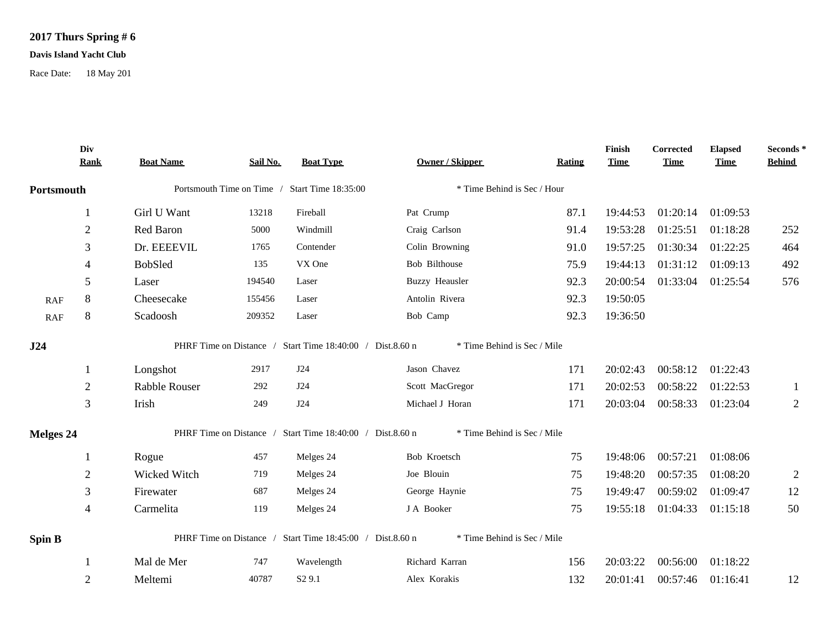## **2017 Thurs Spring # 6**

## **Davis Island Yacht Club**

Race Date: 18 May 201

|                  | Div<br>Rank    | <b>Boat Name</b> | Sail No. | <b>Boat Type</b>                                          | <b>Owner / Skipper</b>      | <b>Rating</b> | Finish<br><b>Time</b> | Corrected<br><b>Time</b> | <b>Elapsed</b><br><b>Time</b> | Seconds*<br><b>Behind</b> |
|------------------|----------------|------------------|----------|-----------------------------------------------------------|-----------------------------|---------------|-----------------------|--------------------------|-------------------------------|---------------------------|
| Portsmouth       |                |                  |          | Portsmouth Time on Time / Start Time 18:35:00             | * Time Behind is Sec / Hour |               |                       |                          |                               |                           |
|                  |                | Girl U Want      | 13218    | Fireball                                                  | Pat Crump                   | 87.1          | 19:44:53              | 01:20:14                 | 01:09:53                      |                           |
|                  | $\overline{2}$ | Red Baron        | 5000     | Windmill                                                  | Craig Carlson               | 91.4          | 19:53:28              | 01:25:51                 | 01:18:28                      | 252                       |
|                  | 3              | Dr. EEEEVIL      | 1765     | Contender                                                 | Colin Browning              | 91.0          | 19:57:25              | 01:30:34                 | 01:22:25                      | 464                       |
|                  | $\overline{4}$ | <b>BobSled</b>   | 135      | VX One                                                    | Bob Bilthouse               | 75.9          | 19:44:13              | 01:31:12                 | 01:09:13                      | 492                       |
|                  | 5              | Laser            | 194540   | Laser                                                     | <b>Buzzy Heausler</b>       | 92.3          | 20:00:54              |                          | 01:33:04 01:25:54             | 576                       |
| RAF              | $\,8\,$        | Cheesecake       | 155456   | Laser                                                     | Antolin Rivera              | 92.3          | 19:50:05              |                          |                               |                           |
| <b>RAF</b>       | 8              | Scadoosh         | 209352   | Laser                                                     | Bob Camp                    | 92.3          | 19:36:50              |                          |                               |                           |
| J24              |                |                  |          | PHRF Time on Distance / Start Time 18:40:00 / Dist.8.60 n | * Time Behind is Sec / Mile |               |                       |                          |                               |                           |
|                  | 1              | Longshot         | 2917     | J24                                                       | Jason Chavez                | 171           | 20:02:43              | 00:58:12                 | 01:22:43                      |                           |
|                  | $\overline{2}$ | Rabble Rouser    | 292      | J24                                                       | Scott MacGregor             | 171           | 20:02:53              | 00:58:22                 | 01:22:53                      | $\mathbf{1}$              |
|                  | 3              | Irish            | 249      | J24                                                       | Michael J Horan             | 171           | 20:03:04              | 00:58:33                 | 01:23:04                      | $\sqrt{2}$                |
| <b>Melges 24</b> |                |                  |          | PHRF Time on Distance / Start Time 18:40:00 / Dist.8.60 n | * Time Behind is Sec / Mile |               |                       |                          |                               |                           |
|                  |                | Rogue            | 457      | Melges 24                                                 | Bob Kroetsch                | 75            | 19:48:06              | 00:57:21                 | 01:08:06                      |                           |
|                  | $\overline{2}$ | Wicked Witch     | 719      | Melges 24                                                 | Joe Blouin                  | 75            | 19:48:20              | 00:57:35                 | 01:08:20                      | $\overline{2}$            |
|                  | 3              | Firewater        | 687      | Melges 24                                                 | George Haynie               | 75            | 19:49:47              | 00:59:02                 | 01:09:47                      | 12                        |
|                  | $\overline{4}$ | Carmelita        | 119      | Melges 24                                                 | J A Booker                  | 75            | 19:55:18              | 01:04:33                 | 01:15:18                      | 50                        |
| <b>Spin B</b>    |                |                  |          | PHRF Time on Distance / Start Time 18:45:00 / Dist.8.60 n | * Time Behind is Sec / Mile |               |                       |                          |                               |                           |
|                  |                | Mal de Mer       | 747      | Wavelength                                                | Richard Karran              | 156           | 20:03:22              | 00:56:00                 | 01:18:22                      |                           |
|                  | $\overline{2}$ | Meltemi          | 40787    | S <sub>2</sub> 9.1                                        | Alex Korakis                | 132           | 20:01:41              | 00:57:46                 | 01:16:41                      | 12                        |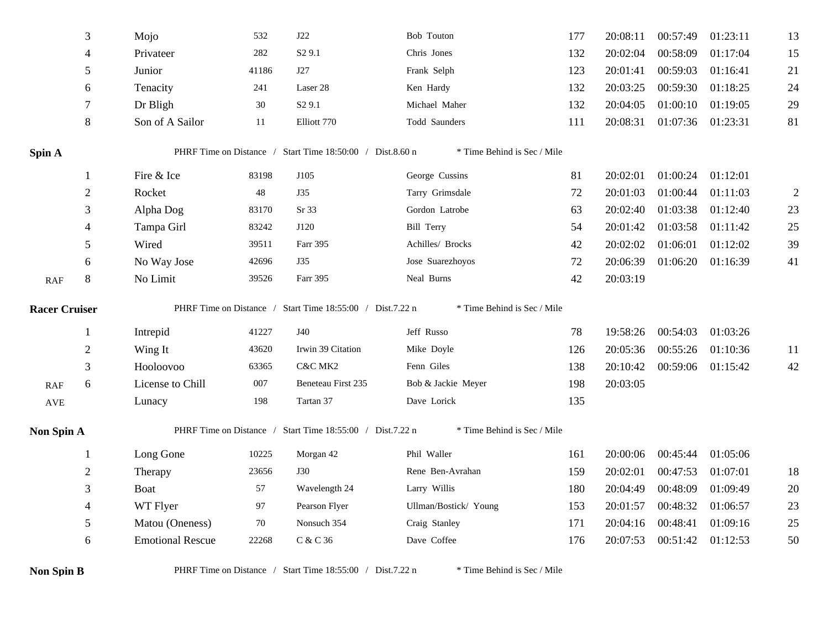|                             | $\mathfrak{Z}$ | Mojo                    | 532    | J22                                                       | Bob Touton                  | 177 | 20:08:11 | 00:57:49          | 01:23:11 | 13             |
|-----------------------------|----------------|-------------------------|--------|-----------------------------------------------------------|-----------------------------|-----|----------|-------------------|----------|----------------|
|                             | 4              | Privateer               | 282    | S <sub>2</sub> 9.1                                        | Chris Jones                 | 132 | 20:02:04 | 00:58:09          | 01:17:04 | 15             |
|                             | 5              | Junior                  | 41186  | J27                                                       | Frank Selph                 | 123 | 20:01:41 | 00:59:03          | 01:16:41 | 21             |
|                             | 6              | Tenacity                | 241    | Laser 28                                                  | Ken Hardy                   | 132 | 20:03:25 | 00:59:30          | 01:18:25 | 24             |
|                             | $\tau$         | Dr Bligh                | $30\,$ | S <sub>2</sub> 9.1                                        | Michael Maher               | 132 | 20:04:05 | 01:00:10          | 01:19:05 | 29             |
|                             | 8              | Son of A Sailor         | 11     | Elliott 770                                               | Todd Saunders               | 111 | 20:08:31 | 01:07:36 01:23:31 |          | 81             |
| Spin A                      |                |                         |        | PHRF Time on Distance / Start Time 18:50:00 / Dist.8.60 n | * Time Behind is Sec / Mile |     |          |                   |          |                |
|                             | 1              | Fire & Ice              | 83198  | J105                                                      | George Cussins              | 81  | 20:02:01 | 01:00:24          | 01:12:01 |                |
|                             | $\overline{2}$ | Rocket                  | 48     | <b>J35</b>                                                | Tarry Grimsdale             | 72  | 20:01:03 | 01:00:44          | 01:11:03 | $\overline{2}$ |
|                             | 3              | Alpha Dog               | 83170  | Sr <sub>33</sub>                                          | Gordon Latrobe              | 63  | 20:02:40 | 01:03:38          | 01:12:40 | 23             |
|                             | 4              | Tampa Girl              | 83242  | J120                                                      | <b>Bill Terry</b>           | 54  | 20:01:42 | 01:03:58          | 01:11:42 | 25             |
|                             | 5              | Wired                   | 39511  | Farr 395                                                  | Achilles/ Brocks            | 42  | 20:02:02 | 01:06:01          | 01:12:02 | 39             |
|                             | 6              | No Way Jose             | 42696  | <b>J35</b>                                                | Jose Suarezhoyos            | 72  | 20:06:39 | 01:06:20          | 01:16:39 | 41             |
| $\ensuremath{\mathsf{RAF}}$ | 8              | No Limit                | 39526  | Farr 395                                                  | Neal Burns                  | 42  | 20:03:19 |                   |          |                |
| <b>Racer Cruiser</b>        |                |                         |        | PHRF Time on Distance / Start Time 18:55:00 / Dist.7.22 n | * Time Behind is Sec / Mile |     |          |                   |          |                |
|                             | 1              | Intrepid                | 41227  | J40                                                       | Jeff Russo                  | 78  | 19:58:26 | 00:54:03          | 01:03:26 |                |
|                             | $\sqrt{2}$     | Wing It                 | 43620  | Irwin 39 Citation                                         | Mike Doyle                  | 126 | 20:05:36 | 00:55:26          | 01:10:36 | 11             |
|                             | 3              | Hooloovoo               | 63365  | C&C MK2                                                   | Fenn Giles                  | 138 | 20:10:42 | 00:59:06          | 01:15:42 | 42             |
| $\ensuremath{\mathsf{RAF}}$ | $6\,$          | License to Chill        | 007    | Beneteau First 235                                        | Bob & Jackie Meyer          | 198 | 20:03:05 |                   |          |                |
| <b>AVE</b>                  |                | Lunacy                  | 198    | Tartan 37                                                 | Dave Lorick                 | 135 |          |                   |          |                |
| Non Spin A                  |                |                         |        | PHRF Time on Distance / Start Time 18:55:00 / Dist.7.22 n | * Time Behind is Sec / Mile |     |          |                   |          |                |
|                             | $\mathbf{1}$   | Long Gone               | 10225  | Morgan 42                                                 | Phil Waller                 | 161 | 20:00:06 | 00:45:44          | 01:05:06 |                |
|                             | $\sqrt{2}$     | Therapy                 | 23656  | <b>J30</b>                                                | Rene Ben-Avrahan            | 159 | 20:02:01 | 00:47:53          | 01:07:01 | 18             |
|                             | 3              | Boat                    | 57     | Wavelength 24                                             | Larry Willis                | 180 | 20:04:49 | 00:48:09          | 01:09:49 | 20             |
|                             | $\overline{4}$ | WT Flyer                | 97     | Pearson Flyer                                             | Ullman/Bostick/ Young       | 153 | 20:01:57 | 00:48:32          | 01:06:57 | 23             |
|                             | 5              | Matou (Oneness)         | 70     | Nonsuch 354                                               | Craig Stanley               | 171 | 20:04:16 | 00:48:41          | 01:09:16 | 25             |
|                             | 6              | <b>Emotional Rescue</b> | 22268  | C & C 36                                                  | Dave Coffee                 | 176 | 20:07:53 | 00:51:42          | 01:12:53 | 50             |
| <b>Non Spin B</b>           |                |                         |        | PHRF Time on Distance / Start Time 18:55:00 / Dist.7.22 n | * Time Behind is Sec / Mile |     |          |                   |          |                |